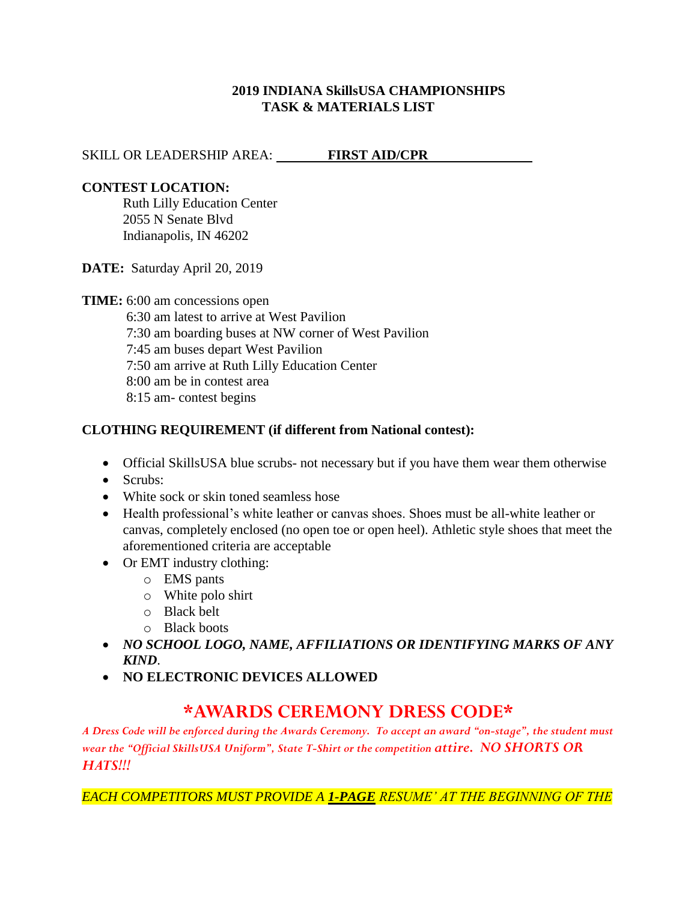#### **2019 INDIANA SkillsUSA CHAMPIONSHIPS TASK & MATERIALS LIST**

### SKILL OR LEADERSHIP AREA: **FIRST AID/CPR**

### **CONTEST LOCATION:**

Ruth Lilly Education Center 2055 N Senate Blvd Indianapolis, IN 46202

**DATE:** Saturday April 20, 2019

**TIME:** 6:00 am concessions open

6:30 am latest to arrive at West Pavilion 7:30 am boarding buses at NW corner of West Pavilion 7:45 am buses depart West Pavilion 7:50 am arrive at Ruth Lilly Education Center 8:00 am be in contest area 8:15 am- contest begins

### **CLOTHING REQUIREMENT (if different from National contest):**

- Official SkillsUSA blue scrubs- not necessary but if you have them wear them otherwise
- Scrubs:
- White sock or skin toned seamless hose
- Health professional's white leather or canvas shoes. Shoes must be all-white leather or canvas, completely enclosed (no open toe or open heel). Athletic style shoes that meet the aforementioned criteria are acceptable
- Or EMT industry clothing:
	- o EMS pants
	- o White polo shirt
	- o Black belt
	- o Black boots
- *NO SCHOOL LOGO, NAME, AFFILIATIONS OR IDENTIFYING MARKS OF ANY KIND*.
- **NO ELECTRONIC DEVICES ALLOWED**

# **\*AWARDS CEREMONY DRESS CODE\***

*A Dress Code will be enforced during the Awards Ceremony. To accept an award "on-stage", the student must wear the "Official SkillsUSA Uniform", State T-Shirt or the competition attire. NO SHORTS OR HATS!!!*

*EACH COMPETITORS MUST PROVIDE A 1-PAGE RESUME' AT THE BEGINNING OF THE*